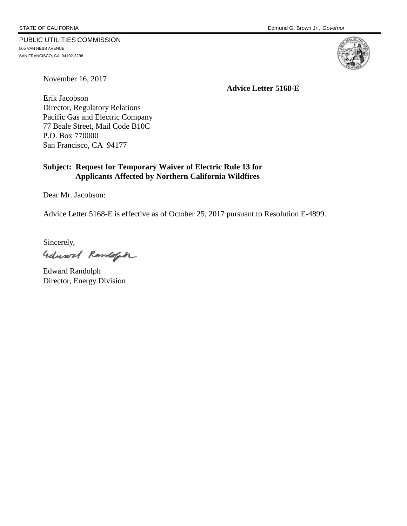#### PUBLIC UTILITIES COMMISSION

505 VAN NESS AVENUE SAN FRANCISCO, CA 94102-3298



November 16, 2017

**Advice Letter 5168-E**

Erik Jacobson Director, Regulatory Relations Pacific Gas and Electric Company 77 Beale Street, Mail Code B10C P.O. Box 770000 San Francisco, CA 94177

## **Subject: Request for Temporary Waiver of Electric Rule 13 for Applicants Affected by Northern California Wildfires**

Dear Mr. Jacobson:

Advice Letter 5168-E is effective as of October 25, 2017 pursuant to Resolution E-4899.

Sincerely,

Edward Ramloft

Edward Randolph Director, Energy Division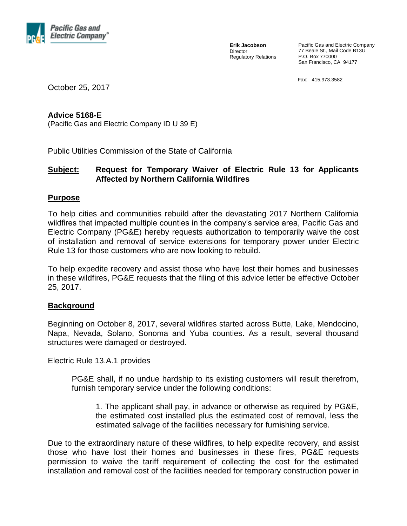

**Erik Jacobson** Director Regulatory Relations Pacific Gas and Electric Company 77 Beale St., Mail Code B13U P.O. Box 770000 San Francisco, CA 94177

Fax: 415.973.3582

October 25, 2017

## **Advice 5168-E**

(Pacific Gas and Electric Company ID U 39 E)

Public Utilities Commission of the State of California

# **Subject: Request for Temporary Waiver of Electric Rule 13 for Applicants Affected by Northern California Wildfires**

## **Purpose**

To help cities and communities rebuild after the devastating 2017 Northern California wildfires that impacted multiple counties in the company's service area, Pacific Gas and Electric Company (PG&E) hereby requests authorization to temporarily waive the cost of installation and removal of service extensions for temporary power under Electric Rule 13 for those customers who are now looking to rebuild.

To help expedite recovery and assist those who have lost their homes and businesses in these wildfires, PG&E requests that the filing of this advice letter be effective October 25, 2017.

## **Background**

Beginning on October 8, 2017, several wildfires started across Butte, Lake, Mendocino, Napa, Nevada, Solano, Sonoma and Yuba counties. As a result, several thousand structures were damaged or destroyed.

Electric Rule 13.A.1 provides

PG&E shall, if no undue hardship to its existing customers will result therefrom, furnish temporary service under the following conditions:

1. The applicant shall pay, in advance or otherwise as required by PG&E, the estimated cost installed plus the estimated cost of removal, less the estimated salvage of the facilities necessary for furnishing service.

Due to the extraordinary nature of these wildfires, to help expedite recovery, and assist those who have lost their homes and businesses in these fires, PG&E requests permission to waive the tariff requirement of collecting the cost for the estimated installation and removal cost of the facilities needed for temporary construction power in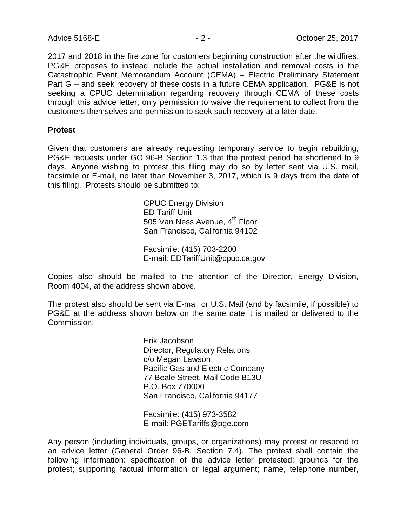2017 and 2018 in the fire zone for customers beginning construction after the wildfires. PG&E proposes to instead include the actual installation and removal costs in the Catastrophic Event Memorandum Account (CEMA) – Electric Preliminary Statement Part G – and seek recovery of these costs in a future CEMA application. PG&E is not seeking a CPUC determination regarding recovery through CEMA of these costs through this advice letter, only permission to waive the requirement to collect from the customers themselves and permission to seek such recovery at a later date.

#### **Protest**

Given that customers are already requesting temporary service to begin rebuilding, PG&E requests under GO 96-B Section 1.3 that the protest period be shortened to 9 days. Anyone wishing to protest this filing may do so by letter sent via U.S. mail, facsimile or E-mail, no later than November 3, 2017, which is 9 days from the date of this filing. Protests should be submitted to:

> CPUC Energy Division ED Tariff Unit 505 Van Ness Avenue, 4<sup>th</sup> Floor San Francisco, California 94102

Facsimile: (415) 703-2200 E-mail: EDTariffUnit@cpuc.ca.gov

Copies also should be mailed to the attention of the Director, Energy Division, Room 4004, at the address shown above.

The protest also should be sent via E-mail or U.S. Mail (and by facsimile, if possible) to PG&E at the address shown below on the same date it is mailed or delivered to the Commission:

> Erik Jacobson Director, Regulatory Relations c/o Megan Lawson Pacific Gas and Electric Company 77 Beale Street, Mail Code B13U P.O. Box 770000 San Francisco, California 94177

Facsimile: (415) 973-3582 E-mail: PGETariffs@pge.com

Any person (including individuals, groups, or organizations) may protest or respond to an advice letter (General Order 96-B, Section 7.4). The protest shall contain the following information: specification of the advice letter protested; grounds for the protest; supporting factual information or legal argument; name, telephone number,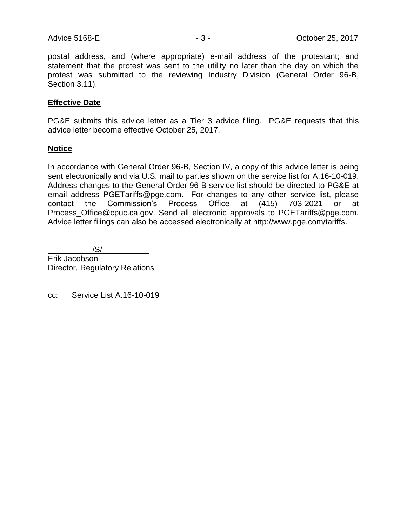postal address, and (where appropriate) e-mail address of the protestant; and statement that the protest was sent to the utility no later than the day on which the protest was submitted to the reviewing Industry Division (General Order 96-B, Section 3.11).

## **Effective Date**

PG&E submits this advice letter as a Tier 3 advice filing. PG&E requests that this advice letter become effective October 25, 2017.

#### **Notice**

In accordance with General Order 96-B, Section IV, a copy of this advice letter is being sent electronically and via U.S. mail to parties shown on the service list for A.16-10-019. Address changes to the General Order 96-B service list should be directed to PG&E at email address PGETariffs@pge.com. For changes to any other service list, please contact the Commission's Process Office at (415) 703-2021 or at Process\_Office@cpuc.ca.gov. Send all electronic approvals to PGETariffs@pge.com. Advice letter filings can also be accessed electronically at http://www.pge.com/tariffs.

 /S/ Erik Jacobson Director, Regulatory Relations

cc: Service List A.16-10-019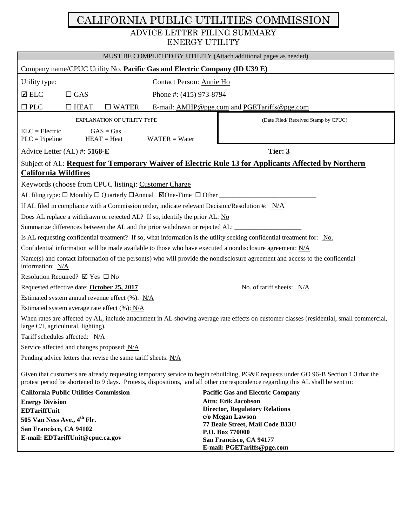# CALIFORNIA PUBLIC UTILITIES COMMISSION ADVICE LETTER FILING SUMMARY ENERGY UTILITY

| MUST BE COMPLETED BY UTILITY (Attach additional pages as needed)                                                                                                                                                                                                       |                                             |                                                                     |
|------------------------------------------------------------------------------------------------------------------------------------------------------------------------------------------------------------------------------------------------------------------------|---------------------------------------------|---------------------------------------------------------------------|
| Company name/CPUC Utility No. Pacific Gas and Electric Company (ID U39 E)                                                                                                                                                                                              |                                             |                                                                     |
| Utility type:                                                                                                                                                                                                                                                          | Contact Person: Annie Ho                    |                                                                     |
| $\boxtimes$ ELC<br>$\Box$ GAS                                                                                                                                                                                                                                          | Phone #: (415) 973-8794                     |                                                                     |
| $\square$ PLC<br>$\Box$ HEAT<br>$\square$ WATER                                                                                                                                                                                                                        | E-mail: AMHP@pge.com and PGETariffs@pge.com |                                                                     |
|                                                                                                                                                                                                                                                                        |                                             |                                                                     |
| <b>EXPLANATION OF UTILITY TYPE</b>                                                                                                                                                                                                                                     |                                             | (Date Filed/Received Stamp by CPUC)                                 |
| $ELC = Electric$<br>$GAS = Gas$<br>$HEAT = Heat$<br>$PLC = Pipeline$<br>$WATER = Water$                                                                                                                                                                                |                                             |                                                                     |
| Advice Letter $(AL)$ #: $5168-E$                                                                                                                                                                                                                                       | Tier: $3$                                   |                                                                     |
| Subject of AL: Request for Temporary Waiver of Electric Rule 13 for Applicants Affected by Northern                                                                                                                                                                    |                                             |                                                                     |
| <b>California Wildfires</b>                                                                                                                                                                                                                                            |                                             |                                                                     |
| Keywords (choose from CPUC listing): Customer Charge                                                                                                                                                                                                                   |                                             |                                                                     |
|                                                                                                                                                                                                                                                                        |                                             |                                                                     |
| If AL filed in compliance with a Commission order, indicate relevant Decision/Resolution #: N/A                                                                                                                                                                        |                                             |                                                                     |
| Does AL replace a withdrawn or rejected AL? If so, identify the prior AL: No                                                                                                                                                                                           |                                             |                                                                     |
| Summarize differences between the AL and the prior withdrawn or rejected AL:                                                                                                                                                                                           |                                             |                                                                     |
| Is AL requesting confidential treatment? If so, what information is the utility seeking confidential treatment for: No.                                                                                                                                                |                                             |                                                                     |
| Confidential information will be made available to those who have executed a nondisclosure agreement: $N/A$                                                                                                                                                            |                                             |                                                                     |
| $Name(s)$ and contact information of the person(s) who will provide the nondisclosure agreement and access to the confidential<br>information: N/A                                                                                                                     |                                             |                                                                     |
| Resolution Required? $\boxtimes$ Yes $\Box$ No                                                                                                                                                                                                                         |                                             |                                                                     |
| Requested effective date: October 25, 2017<br>No. of tariff sheets: $N/A$                                                                                                                                                                                              |                                             |                                                                     |
| Estimated system annual revenue effect $(\%): N/A$                                                                                                                                                                                                                     |                                             |                                                                     |
| Estimated system average rate effect (%): N/A                                                                                                                                                                                                                          |                                             |                                                                     |
| When rates are affected by AL, include attachment in AL showing average rate effects on customer classes (residential, small commercial,<br>large C/I, agricultural, lighting).                                                                                        |                                             |                                                                     |
| Tariff schedules affected: N/A                                                                                                                                                                                                                                         |                                             |                                                                     |
| Service affected and changes proposed: N/A                                                                                                                                                                                                                             |                                             |                                                                     |
| Pending advice letters that revise the same tariff sheets: $N/A$                                                                                                                                                                                                       |                                             |                                                                     |
| Given that customers are already requesting temporary service to begin rebuilding, PG&E requests under GO 96-B Section 1.3 that the<br>protest period be shortened to 9 days. Protests, dispositions, and all other correspondence regarding this AL shall be sent to: |                                             |                                                                     |
| <b>California Public Utilities Commission</b>                                                                                                                                                                                                                          |                                             | <b>Pacific Gas and Electric Company</b>                             |
| <b>Energy Division</b>                                                                                                                                                                                                                                                 |                                             | <b>Attn: Erik Jacobson</b><br><b>Director, Regulatory Relations</b> |
| <b>EDTariffUnit</b><br>505 Van Ness Ave., 4 <sup>th</sup> Flr.                                                                                                                                                                                                         |                                             | c/o Megan Lawson                                                    |
| San Francisco, CA 94102                                                                                                                                                                                                                                                |                                             | 77 Beale Street, Mail Code B13U                                     |
| E-mail: EDTariffUnit@cpuc.ca.gov                                                                                                                                                                                                                                       |                                             | P.O. Box 770000<br>San Francisco, CA 94177                          |
|                                                                                                                                                                                                                                                                        |                                             | E-mail: PGETariffs@pge.com                                          |